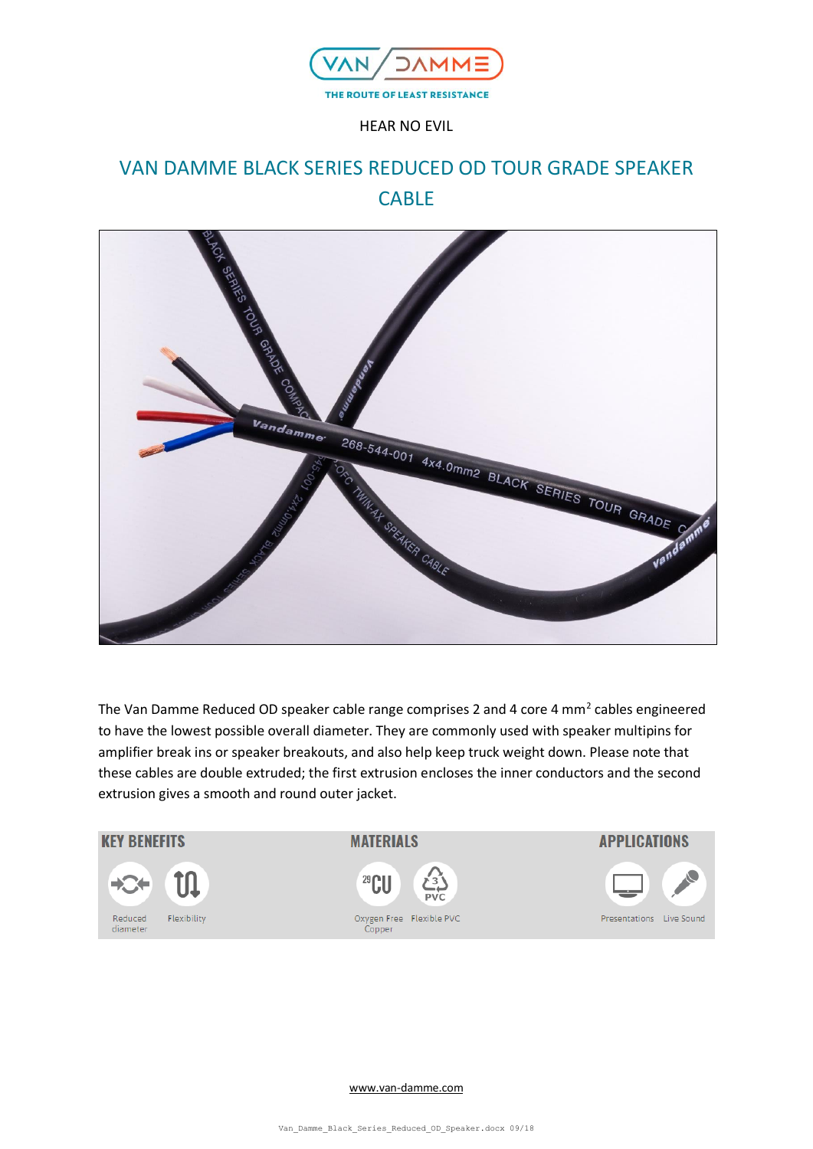

HEAR NO EVIL

# VAN DAMME BLACK SERIES REDUCED OD TOUR GRADE SPEAKER CABLE



The Van Damme Reduced OD speaker cable range comprises 2 and 4 core 4 mm<sup>2</sup> cables engineered to have the lowest possible overall diameter. They are commonly used with speaker multipins for amplifier break ins or speaker breakouts, and also help keep truck weight down. Please note that these cables are double extruded; the first extrusion encloses the inner conductors and the second extrusion gives a smooth and round outer jacket.



[www.van-damme.com](http://www.van-damme.com/)